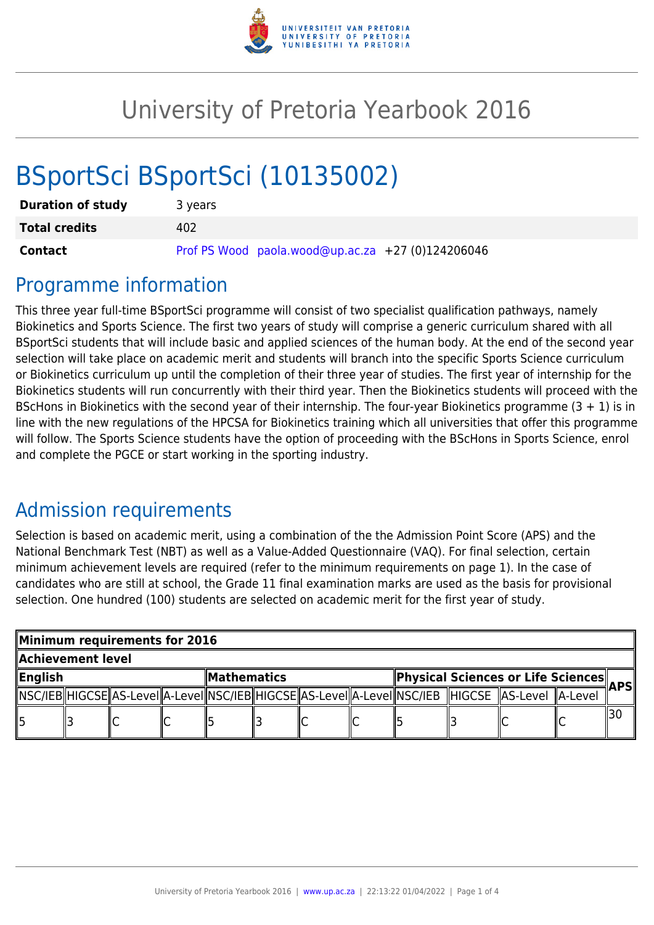

## University of Pretoria Yearbook 2016

# BSportSci BSportSci (10135002)

| <b>Duration of study</b> | 3 years                                           |  |  |  |  |  |  |  |  |
|--------------------------|---------------------------------------------------|--|--|--|--|--|--|--|--|
| <b>Total credits</b>     | 402                                               |  |  |  |  |  |  |  |  |
| <b>Contact</b>           | Prof PS Wood paola.wood@up.ac.za +27 (0)124206046 |  |  |  |  |  |  |  |  |

### Programme information

This three year full-time BSportSci programme will consist of two specialist qualification pathways, namely Biokinetics and Sports Science. The first two years of study will comprise a generic curriculum shared with all BSportSci students that will include basic and applied sciences of the human body. At the end of the second year selection will take place on academic merit and students will branch into the specific Sports Science curriculum or Biokinetics curriculum up until the completion of their three year of studies. The first year of internship for the Biokinetics students will run concurrently with their third year. Then the Biokinetics students will proceed with the BScHons in Biokinetics with the second year of their internship. The four-year Biokinetics programme  $(3 + 1)$  is in line with the new regulations of the HPCSA for Biokinetics training which all universities that offer this programme will follow. The Sports Science students have the option of proceeding with the BScHons in Sports Science, enrol and complete the PGCE or start working in the sporting industry.

## Admission requirements

Selection is based on academic merit, using a combination of the the Admission Point Score (APS) and the National Benchmark Test (NBT) as well as a Value-Added Questionnaire (VAQ). For final selection, certain minimum achievement levels are required (refer to the minimum requirements on page 1). In the case of candidates who are still at school, the Grade 11 final examination marks are used as the basis for provisional selection. One hundred (100) students are selected on academic merit for the first year of study.

|                   | Minimum requirements for 2016 |  |  |              |  |  |                                    |  |  |                                                                                                               |      |  |  |  |
|-------------------|-------------------------------|--|--|--------------|--|--|------------------------------------|--|--|---------------------------------------------------------------------------------------------------------------|------|--|--|--|
| Achievement level |                               |  |  |              |  |  |                                    |  |  |                                                                                                               |      |  |  |  |
| ∥English          |                               |  |  | MathematicsM |  |  | Physical Sciences or Life Sciences |  |  |                                                                                                               | APSI |  |  |  |
|                   |                               |  |  |              |  |  |                                    |  |  | NSC/IEB  HIGCSE  AS-Level  A-Level  NSC/IEB  HIGCSE  AS-Level  A-Level  NSC/IEB   HIGCSE   AS-Level   A-Level |      |  |  |  |
|                   |                               |  |  |              |  |  |                                    |  |  |                                                                                                               |      |  |  |  |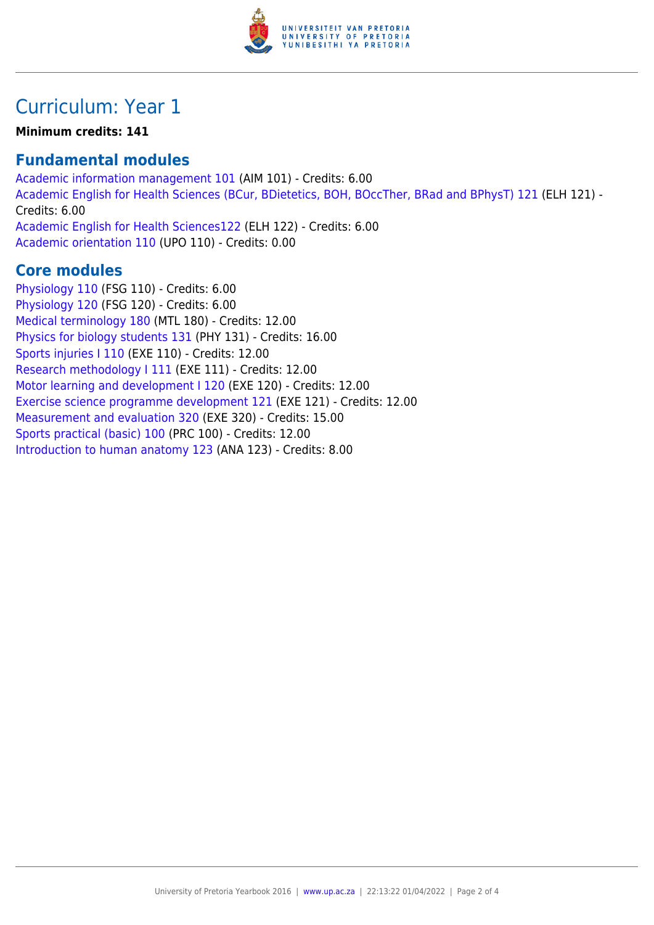

## Curriculum: Year 1

#### **Minimum credits: 141**

#### **Fundamental modules**

[Academic information management 101](https://www.up.ac.za/parents/yearbooks/2016/modules/view/AIM 101) (AIM 101) - Credits: 6.00 [Academic English for Health Sciences \(BCur, BDietetics, BOH, BOccTher, BRad and BPhysT\) 121](https://www.up.ac.za/parents/yearbooks/2016/modules/view/ELH 121) (ELH 121) - Credits: 6.00 [Academic English for Health Sciences122](https://www.up.ac.za/parents/yearbooks/2016/modules/view/ELH 122) (ELH 122) - Credits: 6.00 [Academic orientation 110](https://www.up.ac.za/parents/yearbooks/2016/modules/view/UPO 110) (UPO 110) - Credits: 0.00

#### **Core modules**

[Physiology 110](https://www.up.ac.za/parents/yearbooks/2016/modules/view/FSG 110) (FSG 110) - Credits: 6.00 [Physiology 120](https://www.up.ac.za/parents/yearbooks/2016/modules/view/FSG 120) (FSG 120) - Credits: 6.00 [Medical terminology 180](https://www.up.ac.za/parents/yearbooks/2016/modules/view/MTL 180) (MTL 180) - Credits: 12.00 [Physics for biology students 131](https://www.up.ac.za/parents/yearbooks/2016/modules/view/PHY 131) (PHY 131) - Credits: 16.00 [Sports injuries I 110](https://www.up.ac.za/parents/yearbooks/2016/modules/view/EXE 110) (EXE 110) - Credits: 12.00 [Research methodology I 111](https://www.up.ac.za/parents/yearbooks/2016/modules/view/EXE 111) (EXE 111) - Credits: 12.00 [Motor learning and development I 120](https://www.up.ac.za/parents/yearbooks/2016/modules/view/EXE 120) (EXE 120) - Credits: 12.00 [Exercise science programme development 121](https://www.up.ac.za/parents/yearbooks/2016/modules/view/EXE 121) (EXE 121) - Credits: 12.00 [Measurement and evaluation 320](https://www.up.ac.za/parents/yearbooks/2016/modules/view/EXE 320) (EXE 320) - Credits: 15.00 [Sports practical \(basic\) 100](https://www.up.ac.za/parents/yearbooks/2016/modules/view/PRC 100) (PRC 100) - Credits: 12.00 [Introduction to human anatomy 123](https://www.up.ac.za/parents/yearbooks/2016/modules/view/ANA 123) (ANA 123) - Credits: 8.00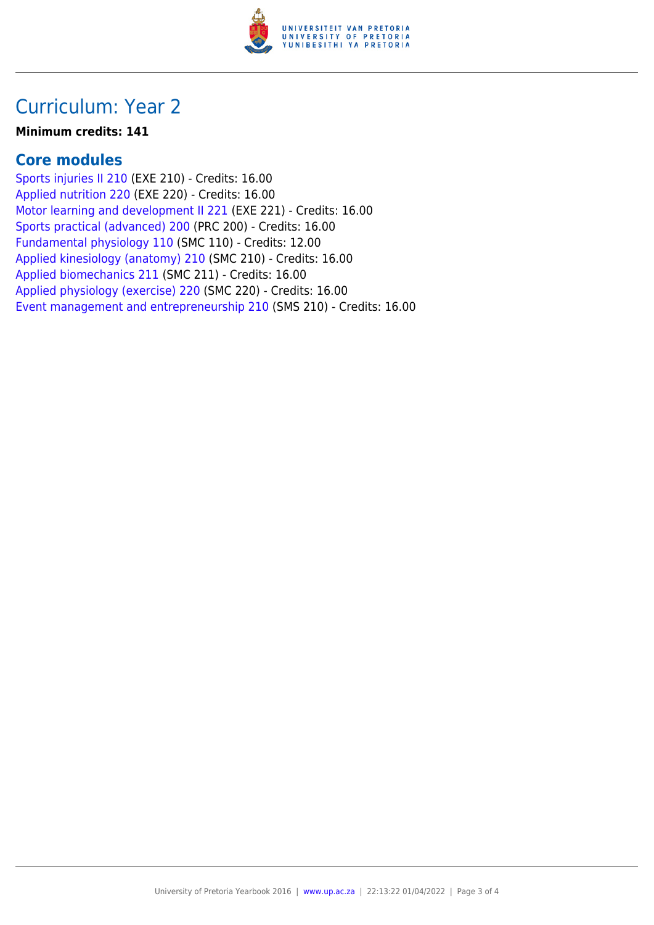

## Curriculum: Year 2

#### **Minimum credits: 141**

#### **Core modules**

[Sports injuries II 210](https://www.up.ac.za/parents/yearbooks/2016/modules/view/EXE 210) (EXE 210) - Credits: 16.00 [Applied nutrition 220](https://www.up.ac.za/parents/yearbooks/2016/modules/view/EXE 220) (EXE 220) - Credits: 16.00 [Motor learning and development II 221](https://www.up.ac.za/parents/yearbooks/2016/modules/view/EXE 221) (EXE 221) - Credits: 16.00 [Sports practical \(advanced\) 200](https://www.up.ac.za/parents/yearbooks/2016/modules/view/PRC 200) (PRC 200) - Credits: 16.00 [Fundamental physiology 110](https://www.up.ac.za/parents/yearbooks/2016/modules/view/SMC 110) (SMC 110) - Credits: 12.00 [Applied kinesiology \(anatomy\) 210](https://www.up.ac.za/parents/yearbooks/2016/modules/view/SMC 210) (SMC 210) - Credits: 16.00 [Applied biomechanics 211](https://www.up.ac.za/parents/yearbooks/2016/modules/view/SMC 211) (SMC 211) - Credits: 16.00 [Applied physiology \(exercise\) 220](https://www.up.ac.za/parents/yearbooks/2016/modules/view/SMC 220) (SMC 220) - Credits: 16.00 [Event management and entrepreneurship 210](https://www.up.ac.za/parents/yearbooks/2016/modules/view/SMS 210) (SMS 210) - Credits: 16.00